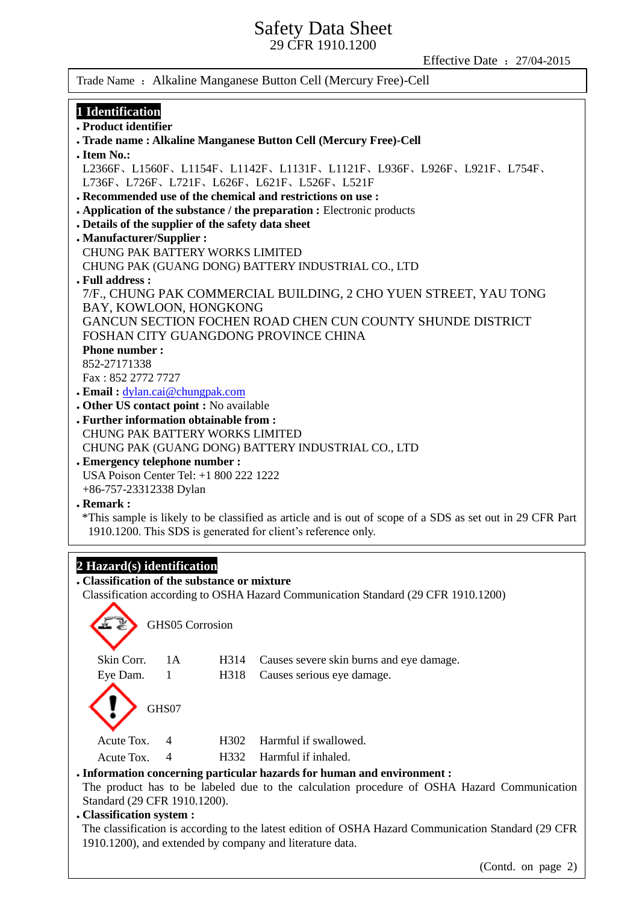Effective Date :27/04-2015

Trade Name : Alkaline Manganese Button Cell (Mercury Free)-Cell

# **1 Identification**

**Product identifier**

| • Product identifier                                                                                                     |  |  |
|--------------------------------------------------------------------------------------------------------------------------|--|--|
| . Trade name: Alkaline Manganese Button Cell (Mercury Free)-Cell                                                         |  |  |
| . Item No.:                                                                                                              |  |  |
| L2366F, L1560F, L1154F, L1142F, L1131F, L1121F, L936F, L926F, L921F, L754F,<br>L736F、L726F、L721F、L626F、L621F、L526F、L521F |  |  |
| . Recommended use of the chemical and restrictions on use:                                                               |  |  |
| • Application of the substance / the preparation : Electronic products                                                   |  |  |
| . Details of the supplier of the safety data sheet                                                                       |  |  |
| . Manufacturer/Supplier :                                                                                                |  |  |
| <b>CHUNG PAK BATTERY WORKS LIMITED</b>                                                                                   |  |  |
| CHUNG PAK (GUANG DONG) BATTERY INDUSTRIAL CO., LTD                                                                       |  |  |
| . Full address :                                                                                                         |  |  |
| 7/F., CHUNG PAK COMMERCIAL BUILDING, 2 CHO YUEN STREET, YAU TONG<br>BAY, KOWLOON, HONGKONG                               |  |  |
| GANCUN SECTION FOCHEN ROAD CHEN CUN COUNTY SHUNDE DISTRICT                                                               |  |  |
| FOSHAN CITY GUANGDONG PROVINCE CHINA                                                                                     |  |  |
| <b>Phone number:</b>                                                                                                     |  |  |
| 852-27171338                                                                                                             |  |  |
| Fax: 852 2772 7727                                                                                                       |  |  |
| . Email: dylan.cai@chungpak.com                                                                                          |  |  |
| . Other US contact point : No available                                                                                  |  |  |
| . Further information obtainable from :                                                                                  |  |  |
| <b>CHUNG PAK BATTERY WORKS LIMITED</b>                                                                                   |  |  |
| CHUNG PAK (GUANG DONG) BATTERY INDUSTRIAL CO., LTD                                                                       |  |  |
| . Emergency telephone number :                                                                                           |  |  |
| USA Poison Center Tel: +1 800 222 1222                                                                                   |  |  |
| +86-757-23312338 Dylan                                                                                                   |  |  |
| . Remark:                                                                                                                |  |  |
|                                                                                                                          |  |  |
| *This sample is likely to be classified as article and is out of scope of a SDS as set out in 29 CFR Part                |  |  |
| 1910.1200. This SDS is generated for client's reference only.                                                            |  |  |
|                                                                                                                          |  |  |
| 2 Hazard(s) identification                                                                                               |  |  |
| . Classification of the substance or mixture                                                                             |  |  |
| Classification according to OSHA Hazard Communication Standard (29 CFR 1910.1200)                                        |  |  |
|                                                                                                                          |  |  |
| GHS05 Corrosion                                                                                                          |  |  |
|                                                                                                                          |  |  |
|                                                                                                                          |  |  |
| Skin Corr.<br>1 A<br>H314<br>Causes severe skin burns and eye damage.                                                    |  |  |
| Eye Dam.<br>$\mathbf{1}$<br>H318<br>Causes serious eye damage.                                                           |  |  |
|                                                                                                                          |  |  |
|                                                                                                                          |  |  |
| GHS07                                                                                                                    |  |  |
|                                                                                                                          |  |  |
| Harmful if swallowed.<br>Acute Tox.<br>H302<br>4                                                                         |  |  |
| Harmful if inhaled.<br>Acute Tox.<br>4<br>H332                                                                           |  |  |
| . Information concerning particular hazards for human and environment :                                                  |  |  |
| The product has to be labeled due to the calculation procedure of OSHA Hazard Communication                              |  |  |
| Standard (29 CFR 1910.1200).                                                                                             |  |  |
|                                                                                                                          |  |  |
| . Classification system :                                                                                                |  |  |
| The classification is according to the latest edition of OSHA Hazard Communication Standard (29 CFR                      |  |  |

1910.1200), and extended by company and literature data.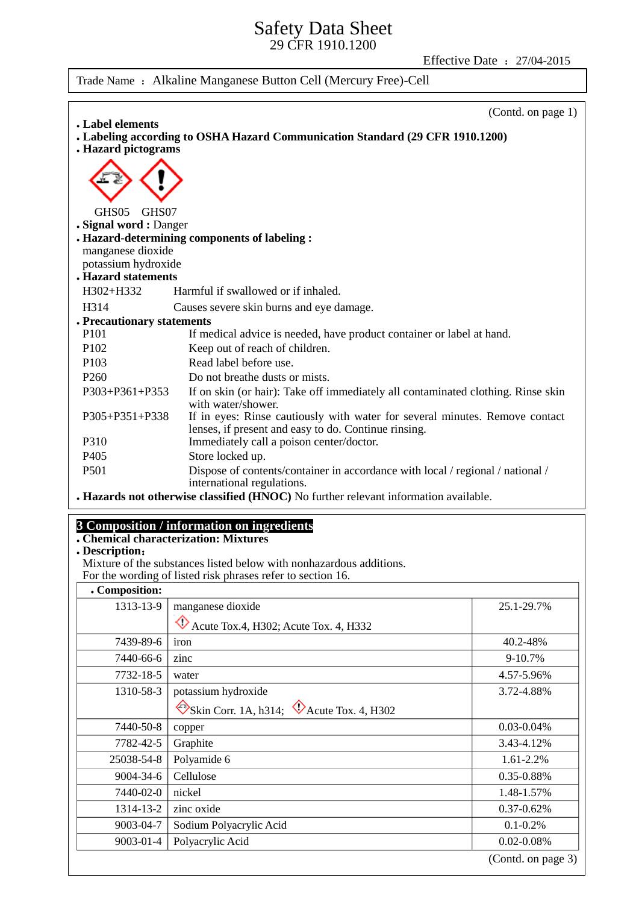Effective Date: 27/04-2015

Trade Name : Alkaline Manganese Button Cell (Mercury Free)-Cell

|                                                                                                                                                       | (Contd. on page 1) |
|-------------------------------------------------------------------------------------------------------------------------------------------------------|--------------------|
| Label elements<br>Labeling according to OSHA Hazard Communication Standard (29 CFR 1910.1200)                                                         |                    |
| <b>. Hazard pictograms</b>                                                                                                                            |                    |
|                                                                                                                                                       |                    |
| GHS05<br>GHS07                                                                                                                                        |                    |
| . Signal word: Danger                                                                                                                                 |                    |
| . Hazard-determining components of labeling :                                                                                                         |                    |
| manganese dioxide                                                                                                                                     |                    |
| potassium hydroxide<br><b>. Hazard statements</b>                                                                                                     |                    |
|                                                                                                                                                       |                    |
| H302+H332<br>Harmful if swallowed or if inhaled.                                                                                                      |                    |
| H314<br>Causes severe skin burns and eye damage.                                                                                                      |                    |
| . Precautionary statements                                                                                                                            |                    |
| P <sub>10</sub> 1<br>If medical advice is needed, have product container or label at hand.                                                            |                    |
| Keep out of reach of children.<br>P <sub>102</sub>                                                                                                    |                    |
| Read label before use.<br>P <sub>103</sub>                                                                                                            |                    |
| P <sub>260</sub><br>Do not breathe dusts or mists.                                                                                                    |                    |
| P303+P361+P353<br>If on skin (or hair): Take off immediately all contaminated clothing. Rinse skin<br>with water/shower.                              |                    |
| If in eyes: Rinse cautiously with water for several minutes. Remove contact<br>P305+P351+P338<br>lenses, if present and easy to do. Continue rinsing. |                    |
| P310<br>Immediately call a poison center/doctor.                                                                                                      |                    |
| Store locked up.<br>P <sub>405</sub>                                                                                                                  |                    |
| P501<br>Dispose of contents/container in accordance with local / regional / national /<br>international regulations.                                  |                    |

**Hazards not otherwise classified (HNOC)** No further relevant information available.

## **3 Composition / information on ingredients**

**Chemical characterization: Mixtures**

## **Description**:

Mixture of the substances listed below with nonhazardous additions. For the wording of listed risk phrases refer to section 16.

| . Composition: |                                                             |                    |
|----------------|-------------------------------------------------------------|--------------------|
| 1313-13-9      | manganese dioxide                                           | 25.1-29.7%         |
|                | Acute Tox.4, H302; Acute Tox. 4, H332                       |                    |
| 7439-89-6      | iron                                                        | 40.2-48%           |
| 7440-66-6      | zinc                                                        | 9-10.7%            |
| 7732-18-5      | water                                                       | 4.57-5.96%         |
| 1310-58-3      | potassium hydroxide                                         | 3.72-4.88%         |
|                | $\otimes$ Skin Corr. 1A, h314; $\otimes$ Acute Tox. 4, H302 |                    |
| 7440-50-8      | copper                                                      | $0.03 - 0.04\%$    |
| 7782-42-5      | Graphite                                                    | 3.43-4.12%         |
| 25038-54-8     | Polyamide 6                                                 | 1.61-2.2%          |
| 9004-34-6      | Cellulose                                                   | 0.35-0.88%         |
| 7440-02-0      | nickel                                                      | 1.48-1.57%         |
| 1314-13-2      | zinc oxide                                                  | $0.37 - 0.62\%$    |
| 9003-04-7      | Sodium Polyacrylic Acid                                     | $0.1 - 0.2\%$      |
| 9003-01-4      | Polyacrylic Acid                                            | 0.02-0.08%         |
|                |                                                             | (Contd. on page 3) |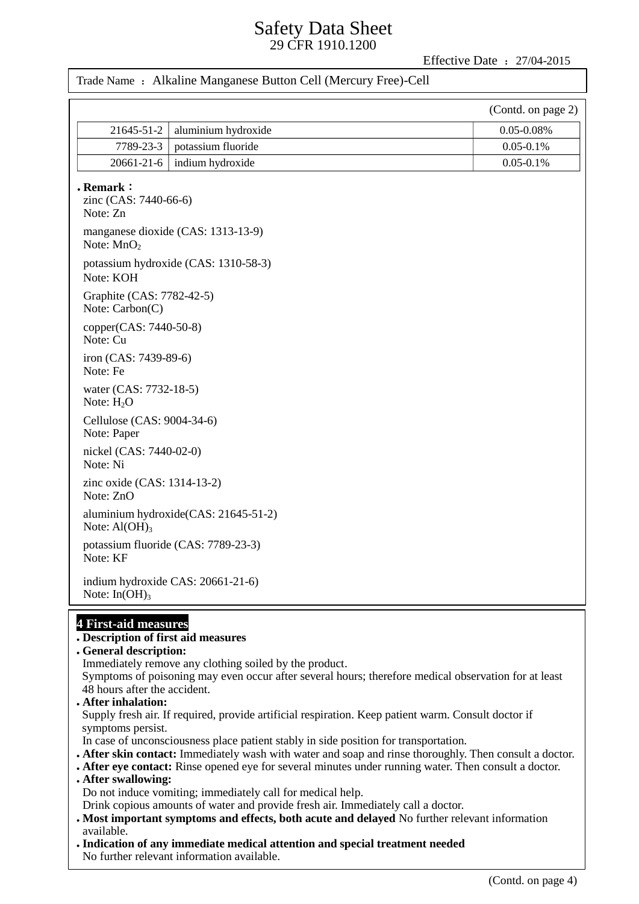Effective Date: 27/04-2015

### Trade Name: Alkaline Manganese Button Cell (Mercury Free)-Cell

|                                                      |                                      | (Contd. on page 2) |
|------------------------------------------------------|--------------------------------------|--------------------|
| 21645-51-2                                           | aluminium hydroxide                  | $0.05 - 0.08\%$    |
| 7789-23-3                                            | potassium fluoride                   | $0.05 - 0.1\%$     |
| 20661-21-6                                           | indium hydroxide                     | $0.05 - 0.1\%$     |
| $\cdot$ Remark:<br>zinc (CAS: 7440-66-6)<br>Note: Zn |                                      |                    |
| Note: $MnO2$                                         | manganese dioxide (CAS: 1313-13-9)   |                    |
| Note: KOH                                            | potassium hydroxide (CAS: 1310-58-3) |                    |
| Graphite (CAS: 7782-42-5)<br>Note: Carbon(C)         |                                      |                    |
| copper(CAS: 7440-50-8)<br>Note: Cu                   |                                      |                    |
| iron (CAS: 7439-89-6)<br>Note: Fe                    |                                      |                    |
| water (CAS: 7732-18-5)<br>Note: $H_2O$               |                                      |                    |
| Cellulose (CAS: 9004-34-6)<br>Note: Paper            |                                      |                    |
| nickel (CAS: 7440-02-0)<br>Note: Ni                  |                                      |                    |
| zinc oxide (CAS: 1314-13-2)<br>Note: ZnO             |                                      |                    |
| Note: $Al(OH)_3$                                     | aluminium hydroxide(CAS: 21645-51-2) |                    |
| Note: KF                                             | potassium fluoride (CAS: 7789-23-3)  |                    |
| indium hydroxide CAS: 20661-21-6)<br>Note: $In(OH)3$ |                                      |                    |
| 4 First-aid measures                                 |                                      |                    |

# **4 First-aid measures Fi**

# **Description of first aid measures**

## **General description:**

Immediately remove any clothing soiled by the product.

Symptoms of poisoning may even occur after several hours; therefore medical observation for at least 48 hours after the accident.

#### **After inhalation:**

Supply fresh air. If required, provide artificial respiration. Keep patient warm. Consult doctor if symptoms persist.

In case of unconsciousness place patient stably in side position for transportation.

- **After skin contact:** Immediately wash with water and soap and rinse thoroughly. Then consult a doctor.
- **After eye contact:** Rinse opened eye for several minutes under running water. Then consult a doctor.
- **After swallowing:**  Do not induce vomiting; immediately call for medical help.
- Drink copious amounts of water and provide fresh air. Immediately call a doctor.
- **Most important symptoms and effects, both acute and delayed** No further relevant information available.
- **Indication of any immediate medical attention and special treatment needed** No further relevant information available.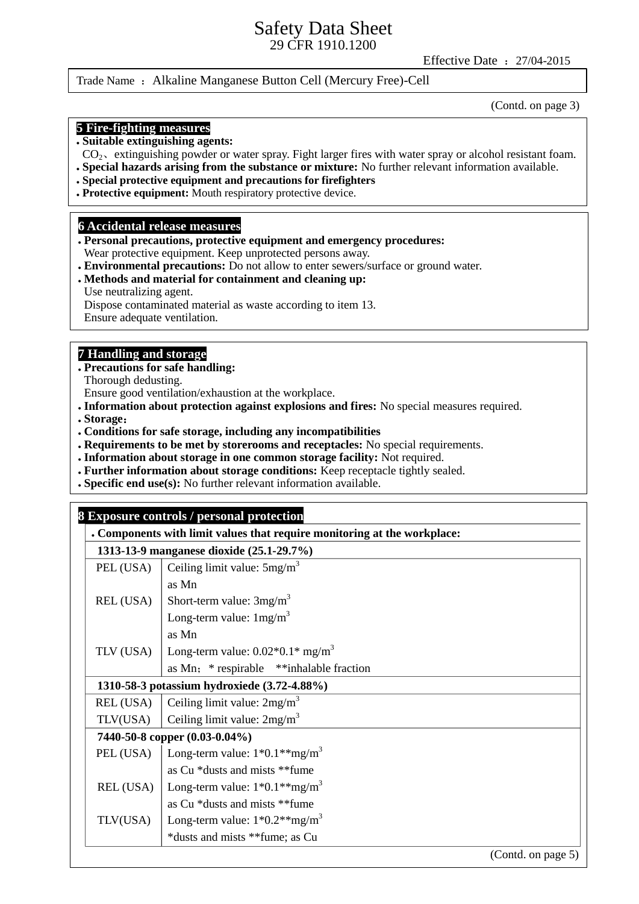Effective Date :27/04-2015

### Trade Name : Alkaline Manganese Button Cell (Mercury Free)-Cell

(Contd. on page 3)

#### **5 Fire-fighting measures**

#### **Suitable extinguishing agents:**

- $CO<sub>2</sub>$ , extinguishing powder or water spray. Fight larger fires with water spray or alcohol resistant foam.
- **Special hazards arising from the substance or mixture:** No further relevant information available.
- **Special protective equipment and precautions for firefighters**
- **Protective equipment:** Mouth respiratory protective device.

#### **6 Accidental release measures**

- **Personal precautions, protective equipment and emergency procedures:**  Wear protective equipment. Keep unprotected persons away.
- **Environmental precautions:** Do not allow to enter sewers/surface or ground water.

#### **Methods and material for containment and cleaning up:** Use neutralizing agent.

Dispose contaminated material as waste according to item 13.

Ensure adequate ventilation.

## **7 Handling and storage**

**Precautions for safe handling:**

Thorough dedusting.

Ensure good ventilation/exhaustion at the workplace.

- **Information about protection against explosions and fires:** No special measures required.
- **Storage**:
- **Conditions for safe storage, including any incompatibilities**
- **Requirements to be met by storerooms and receptacles:** No special requirements.
- **Information about storage in one common storage facility:** Not required.
- **Further information about storage conditions:** Keep receptacle tightly sealed.
- **Specific end use(s):** No further relevant information available.

| 8 Exposure controls / personal protection |                                                                          |  |
|-------------------------------------------|--------------------------------------------------------------------------|--|
|                                           | . Components with limit values that require monitoring at the workplace: |  |
|                                           | 1313-13-9 manganese dioxide (25.1-29.7%)                                 |  |
| PEL (USA)                                 | Ceiling limit value: $5mg/m3$                                            |  |
|                                           | as Mn                                                                    |  |
| REL (USA)                                 | Short-term value: $3mg/m3$                                               |  |
|                                           | Long-term value: $1mg/m^3$                                               |  |
|                                           | as Mn                                                                    |  |
| TLV (USA)                                 | Long-term value: $0.02*0.1*$ mg/m <sup>3</sup>                           |  |
|                                           | as Mn; * respirable ** inhalable fraction                                |  |
|                                           | 1310-58-3 potassium hydroxiede (3.72-4.88%)                              |  |
| REL (USA)                                 | Ceiling limit value: $2mg/m3$                                            |  |
| TLV(USA)                                  | Ceiling limit value: $2mg/m^3$                                           |  |
|                                           | 7440-50-8 copper (0.03-0.04%)                                            |  |
| PEL (USA)                                 | Long-term value: $1*0.1**mg/m^3$                                         |  |
|                                           | as Cu *dusts and mists **fume                                            |  |
| REL (USA)                                 | Long-term value: $1*0.1**mg/m^3$                                         |  |
|                                           | as Cu *dusts and mists **fume                                            |  |
| TLV(USA)                                  | Long-term value: $1*0.2**mg/m^3$                                         |  |
|                                           | *dusts and mists **fume; as Cu                                           |  |
|                                           | (Contd. on page 5)                                                       |  |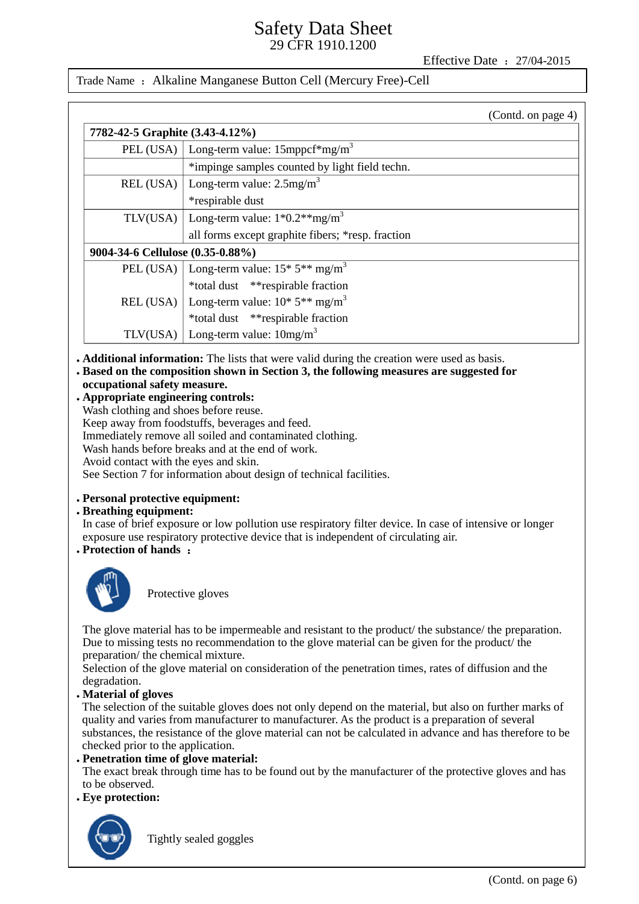Effective Date :27/04-2015

Trade Name : Alkaline Manganese Button Cell (Mercury Free)-Cell

|                                  | (Contd. on page 4)                                                    |  |
|----------------------------------|-----------------------------------------------------------------------|--|
| 7782-42-5 Graphite (3.43-4.12%)  |                                                                       |  |
| PEL (USA) $\vert$                | Long-term value: 15mppcf*mg/m <sup>3</sup>                            |  |
|                                  | *impinge samples counted by light field techn.                        |  |
| REL (USA)                        | Long-term value: $2.5$ mg/m <sup>3</sup>                              |  |
|                                  | *respirable dust                                                      |  |
|                                  | TLV(USA)   Long-term value: $1*0.2**mg/m^3$                           |  |
|                                  | all forms except graphite fibers; *resp. fraction                     |  |
| 9004-34-6 Cellulose (0.35-0.88%) |                                                                       |  |
|                                  | PEL (USA)   Long-term value: $15*5**mg/m^3$                           |  |
|                                  | *total dust **respirable fraction                                     |  |
|                                  | REL (USA)   Long-term value: $10^*$ 5 <sup>**</sup> mg/m <sup>3</sup> |  |
|                                  | *total dust **respirable fraction                                     |  |
| TLV(USA)                         | Long-term value: $10mg/m^3$                                           |  |

- **Additional information:** The lists that were valid during the creation were used as basis.
- **Based on the composition shown in Section 3, the following measures are suggested for occupational safety measure.**
- **Appropriate engineering controls:** Wash clothing and shoes before reuse. Keep away from foodstuffs, beverages and feed. Immediately remove all soiled and contaminated clothing. Wash hands before breaks and at the end of work. Avoid contact with the eyes and skin. See Section 7 for information about design of technical facilities.

## **Personal protective equipment:**

#### **Breathing equipment:**

In case of brief exposure or low pollution use respiratory filter device. In case of intensive or longer exposure use respiratory protective device that is independent of circulating air.

**Protection of hands** :



Protective gloves

The glove material has to be impermeable and resistant to the product the substance the preparation. Due to missing tests no recommendation to the glove material can be given for the product/ the preparation/ the chemical mixture.

Selection of the glove material on consideration of the penetration times, rates of diffusion and the degradation.

**Material of gloves**

The selection of the suitable gloves does not only depend on the material, but also on further marks of quality and varies from manufacturer to manufacturer. As the product is a preparation of several substances, the resistance of the glove material can not be calculated in advance and has therefore to be checked prior to the application.

 **Penetration time of glove material:** The exact break through time has to be found out by the manufacturer of the protective gloves and has to be observed.

**Eye protection:**



Tightly sealed goggles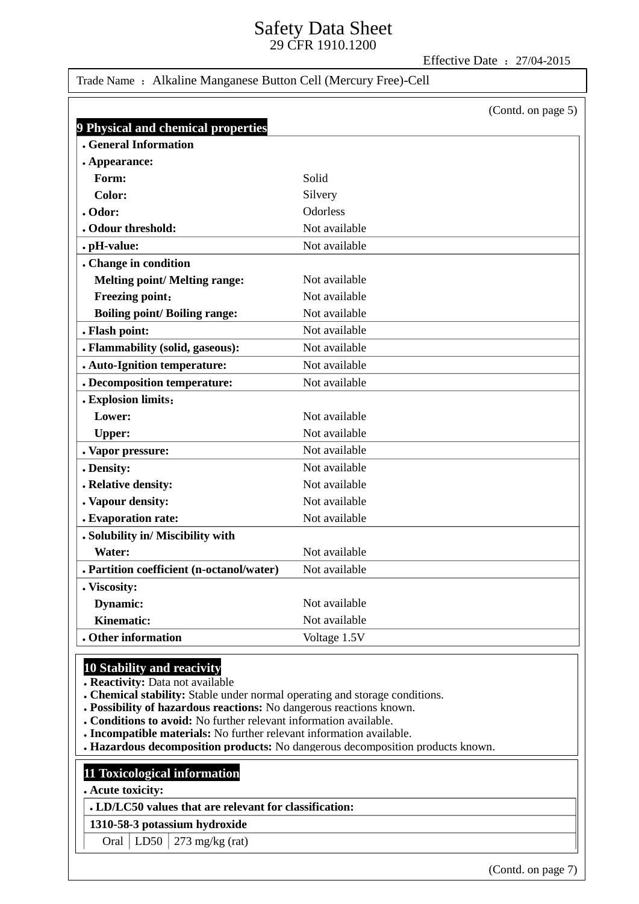Effective Date :27/04-2015

## Trade Name : Alkaline Manganese Button Cell (Mercury Free)-Cell

|                                           | (Contd. on page 5) |
|-------------------------------------------|--------------------|
| 9 Physical and chemical properties        |                    |
| <b>. General Information</b>              |                    |
| . Appearance:                             |                    |
| Form:                                     | Solid              |
| Color:                                    | Silvery            |
| . Odor:                                   | <b>Odorless</b>    |
| . Odour threshold:                        | Not available      |
| . pH-value:                               | Not available      |
| . Change in condition                     |                    |
| <b>Melting point/ Melting range:</b>      | Not available      |
| <b>Freezing point:</b>                    | Not available      |
| <b>Boiling point/Boiling range:</b>       | Not available      |
| . Flash point:                            | Not available      |
| . Flammability (solid, gaseous):          | Not available      |
| . Auto-Ignition temperature:              | Not available      |
| . Decomposition temperature:              | Not available      |
| . Explosion limits:                       |                    |
| Lower:                                    | Not available      |
| <b>Upper:</b>                             | Not available      |
| . Vapor pressure:                         | Not available      |
| . Density:                                | Not available      |
| . Relative density:                       | Not available      |
| . Vapour density:                         | Not available      |
| . Evaporation rate:                       | Not available      |
| . Solubility in/ Miscibility with         |                    |
| Water:                                    | Not available      |
| . Partition coefficient (n-octanol/water) | Not available      |
| . Viscosity:                              |                    |
| Dynamic:                                  | Not available      |
| <b>Kinematic:</b>                         | Not available      |
| . Other information                       | Voltage 1.5V       |

## **10 Stability and reacivity**

**Reactivity:** Data not available

- **Chemical stability:** Stable under normal operating and storage conditions.
- **Possibility of hazardous reactions:** No dangerous reactions known.
- **Conditions to avoid:** No further relevant information available.
- **Incompatible materials:** No further relevant information available.
- **Hazardous decomposition products:** No dangerous decomposition products known.

### **11 Toxicological information**

**Acute toxicity:**

**LD/LC50 values that are relevant for classification:**

## **1310-58-3 potassium hydroxide**

Oral LD50  $\sqrt{273}$  mg/kg (rat)

(Contd. on page 7)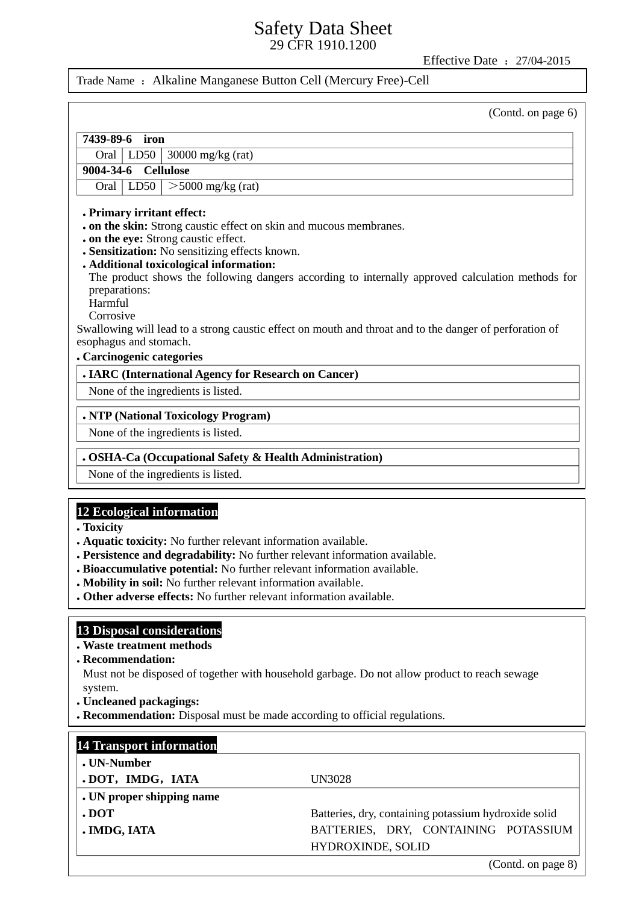Effective Date :27/04-2015

Trade Name : Alkaline Manganese Button Cell (Mercury Free)-Cell

(Contd. on page 6)

# **7439-89-6 iron** Oral LD50 30000 mg/kg (rat) **9004-34-6 Cellulose** Oral LD50  $\geq$  5000 mg/kg (rat) **Primary irritant effect:**

- **on the skin:** Strong caustic effect on skin and mucous membranes.
- **on the eye:** Strong caustic effect.
- **Sensitization:** No sensitizing effects known.
- **Additional toxicological information:** The product shows the following dangers according to internally approved calculation methods for preparations:
	- Harmful
	- Corrosive

Swallowing will lead to a strong caustic effect on mouth and throat and to the danger of perforation of esophagus and stomach.

#### **Carcinogenic categories**

### **IARC (International Agency for Research on Cancer)**

None of the ingredients is listed.

#### **NTP (National Toxicology Program)**

None of the ingredients is listed.

#### **OSHA-Ca (Occupational Safety & Health Administration)**

None of the ingredients is listed.

## **12 Ecological information**

- **Toxicity**
- **Aquatic toxicity:** No further relevant information available.
- **Persistence and degradability:** No further relevant information available.
- **Bioaccumulative potential:** No further relevant information available.
- **Mobility in soil:** No further relevant information available.
- **Other adverse effects:** No further relevant information available.

#### **13 Disposal considerations**

- **Waste treatment methods**
- **Recommendation:**

Must not be disposed of together with household garbage. Do not allow product to reach sewage system.

- **Uncleaned packagings:**
- **Recommendation:** Disposal must be made according to official regulations.

| <b>14 Transport information</b> |                                                      |
|---------------------------------|------------------------------------------------------|
| . UN-Number                     |                                                      |
| .DOT, IMDG, IATA                | UN3028                                               |
| . UN proper shipping name       |                                                      |
| . DOT                           | Batteries, dry, containing potassium hydroxide solid |
| . IMDG, IATA                    | BATTERIES, DRY, CONTAINING POTASSIUM                 |
|                                 | <b>HYDROXINDE, SOLID</b>                             |
|                                 |                                                      |

(Contd. on page 8)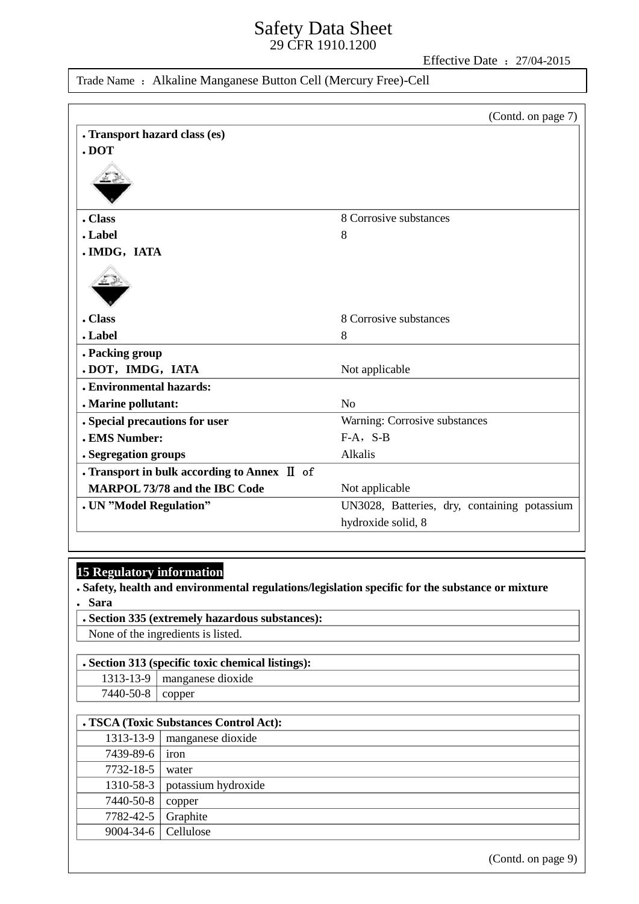Effective Date: 27/04-2015

Trade Name : Alkaline Manganese Button Cell (Mercury Free)-Cell

|                                              | (Contd. on page 7)                           |
|----------------------------------------------|----------------------------------------------|
| . Transport hazard class (es)                |                                              |
| .DOT                                         |                                              |
| . Class                                      | 8 Corrosive substances                       |
| . Label                                      | 8                                            |
| . IMDG, IATA                                 |                                              |
|                                              |                                              |
| . Class                                      | 8 Corrosive substances                       |
| . Label                                      | 8                                            |
| . Packing group                              |                                              |
| .DOT, IMDG, IATA                             | Not applicable                               |
| . Environmental hazards:                     |                                              |
| . Marine pollutant:                          | N <sub>o</sub>                               |
| . Special precautions for user               | Warning: Corrosive substances                |
| . EMS Number:                                | $F-A$ , S-B                                  |
| . Segregation groups                         | Alkalis                                      |
| . Transport in bulk according to Annex II of |                                              |
| <b>MARPOL 73/78 and the IBC Code</b>         | Not applicable                               |
| . UN "Model Regulation"                      | UN3028, Batteries, dry, containing potassium |
|                                              | hydroxide solid, 8                           |
|                                              |                                              |

# **15 Regulatory information**

 **Safety, health and environmental regulations/legislation specific for the substance or mixture Sara**

 **Section 335 (extremely hazardous substances):** None of the ingredients is listed.

## **Section 313 (specific toxic chemical listings):**

|                  | 1313-13-9   manganese dioxide |
|------------------|-------------------------------|
| 7440-50-8 $\log$ |                               |

|                 | . TSCA (Toxic Substances Control Act): |
|-----------------|----------------------------------------|
| 1313-13-9       | manganese dioxide                      |
| 7439-89-6       | iron                                   |
| 7732-18-5       | water                                  |
| 1310-58-3       | potassium hydroxide                    |
| 7440-50-8       | copper                                 |
| 7782-42-5       | Graphite                               |
| $9004 - 34 - 6$ | Cellulose                              |

(Contd. on page 9)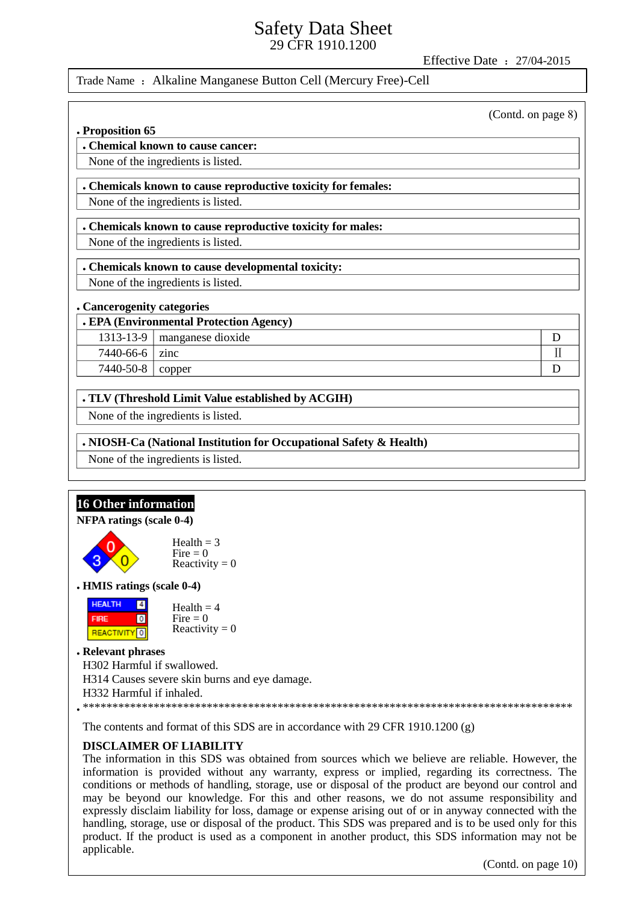Effective Date: 27/04-2015

## Trade Name: Alkaline Manganese Button Cell (Mercury Free)-Cell

(Contd. on page 8)

 $\mathbf{D}$  $\mathbf{I}$ 

D

#### . Proposition 65

. Chemical known to cause cancer:

# None of the ingredients is listed.

## . Chemicals known to cause reproductive toxicity for females:

None of the ingredients is listed.

### . Chemicals known to cause reproductive toxicity for males:

None of the ingredients is listed.

## . Chemicals known to cause developmental toxicity:

None of the ingredients is listed.

### . Cancerogenity categories

### . EPA (Environmental Protection Agency)

- $1313 13 9$ manganese dioxide
- 7440-66-6  $\vert$  zinc

7440-50-8 | copper

## . TLV (Threshold Limit Value established by ACGIH)

None of the ingredients is listed.

## . NIOSH-Ca (National Institution for Occupational Safety & Health)

None of the ingredients is listed.

#### **16 Other information** NFPA ratings (scale 0-4) Health  $=$  3  $Fire = 0$ Reactivity =  $0$ **. HMIS ratings (scale 0-4) HEALTH**  $\boxed{4}$ Health  $=$  4  $\overline{0}$ Fire  $= 0$ **FIRE** Reactivity =  $0$ **REACTIVITY**<sup>0</sup> . Relevant phrases H302 Harmful if swallowed. H314 Causes severe skin burns and eye damage. H332 Harmful if inhaled.

The contents and format of this SDS are in accordance with 29 CFR 1910.1200  $(g)$ 

## **DISCLAIMER OF LIABILITY**

The information in this SDS was obtained from sources which we believe are reliable. However, the information is provided without any warranty, express or implied, regarding its correctness. The conditions or methods of handling, storage, use or disposal of the product are beyond our control and may be beyond our knowledge. For this and other reasons, we do not assume responsibility and expressly disclaim liability for loss, damage or expense arising out of or in anyway connected with the handling, storage, use or disposal of the product. This SDS was prepared and is to be used only for this product. If the product is used as a component in another product, this SDS information may not be applicable.